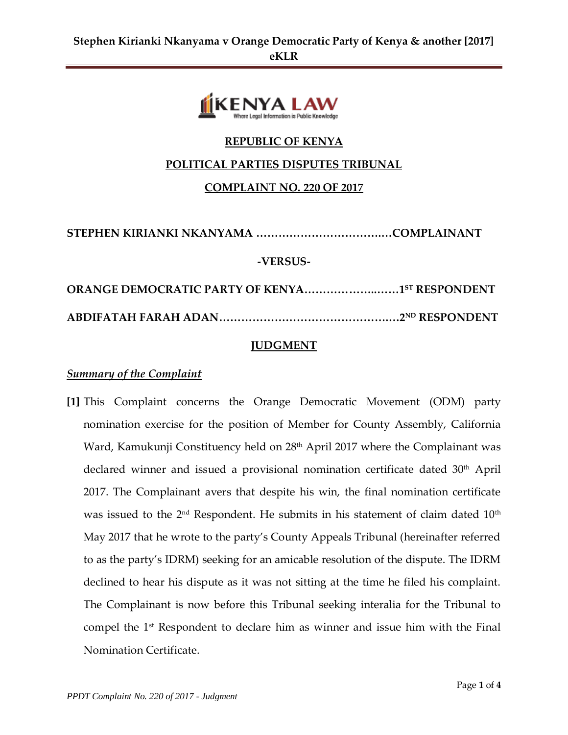

## **REPUBLIC OF KENYA**

#### **POLITICAL PARTIES DISPUTES TRIBUNAL**

#### **COMPLAINT NO. 220 OF 2017**

**STEPHEN KIRIANKI NKANYAMA …………………………….…COMPLAINANT**

#### **-VERSUS-**

**ORANGE DEMOCRATIC PARTY OF KENYA………………..……1 ST RESPONDENT ABDIFATAH FARAH ADAN……………………………………….…2ND RESPONDENT**

## **JUDGMENT**

## *Summary of the Complaint*

**[1]** This Complaint concerns the Orange Democratic Movement (ODM) party nomination exercise for the position of Member for County Assembly, California Ward, Kamukunji Constituency held on 28<sup>th</sup> April 2017 where the Complainant was declared winner and issued a provisional nomination certificate dated 30<sup>th</sup> April 2017. The Complainant avers that despite his win, the final nomination certificate was issued to the  $2<sup>nd</sup>$  Respondent. He submits in his statement of claim dated  $10<sup>th</sup>$ May 2017 that he wrote to the party's County Appeals Tribunal (hereinafter referred to as the party's IDRM) seeking for an amicable resolution of the dispute. The IDRM declined to hear his dispute as it was not sitting at the time he filed his complaint. The Complainant is now before this Tribunal seeking interalia for the Tribunal to compel the 1st Respondent to declare him as winner and issue him with the Final Nomination Certificate.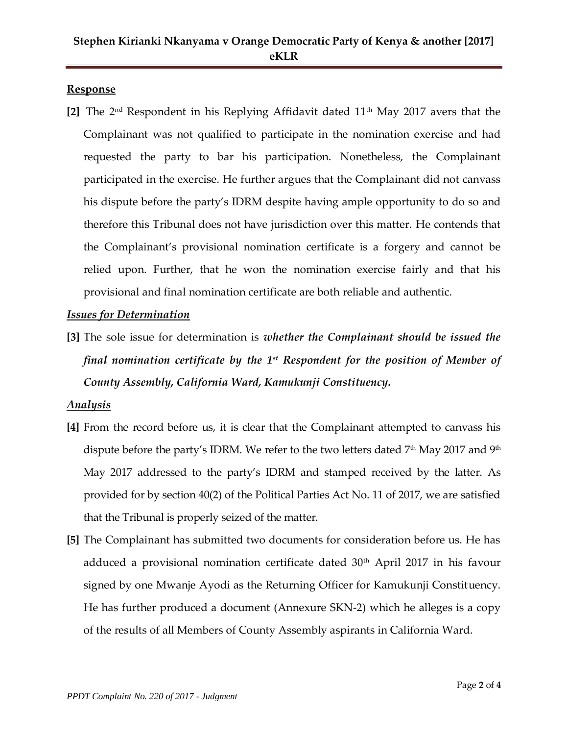## **Response**

**[2]** The 2nd Respondent in his Replying Affidavit dated 11th May 2017 avers that the Complainant was not qualified to participate in the nomination exercise and had requested the party to bar his participation. Nonetheless, the Complainant participated in the exercise. He further argues that the Complainant did not canvass his dispute before the party's IDRM despite having ample opportunity to do so and therefore this Tribunal does not have jurisdiction over this matter. He contends that the Complainant's provisional nomination certificate is a forgery and cannot be relied upon. Further, that he won the nomination exercise fairly and that his provisional and final nomination certificate are both reliable and authentic.

## *Issues for Determination*

**[3]** The sole issue for determination is *whether the Complainant should be issued the final nomination certificate by the 1st Respondent for the position of Member of County Assembly, California Ward, Kamukunji Constituency.*

## *Analysis*

- **[4]** From the record before us, it is clear that the Complainant attempted to canvass his dispute before the party's IDRM. We refer to the two letters dated  $7<sup>th</sup>$  May 2017 and  $9<sup>th</sup>$ May 2017 addressed to the party's IDRM and stamped received by the latter. As provided for by section 40(2) of the Political Parties Act No. 11 of 2017, we are satisfied that the Tribunal is properly seized of the matter.
- **[5]** The Complainant has submitted two documents for consideration before us. He has adduced a provisional nomination certificate dated  $30<sup>th</sup>$  April 2017 in his favour signed by one Mwanje Ayodi as the Returning Officer for Kamukunji Constituency. He has further produced a document (Annexure SKN-2) which he alleges is a copy of the results of all Members of County Assembly aspirants in California Ward.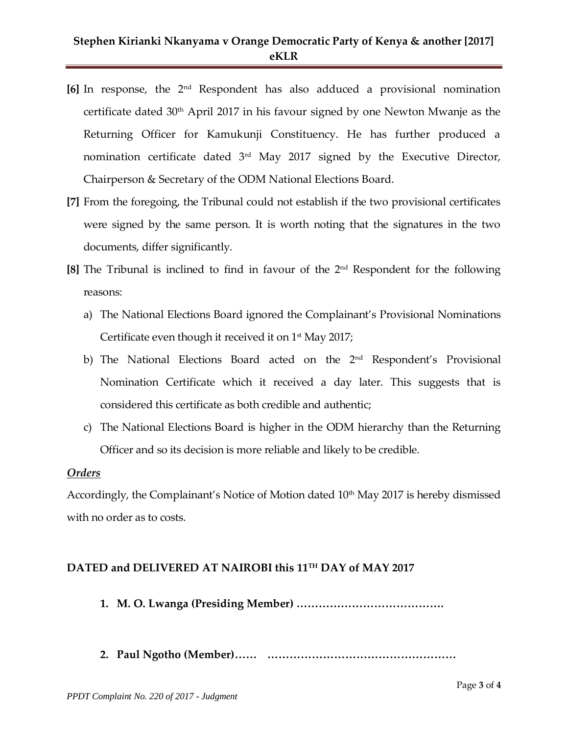# **Stephen Kirianki Nkanyama v Orange Democratic Party of Kenya & another [2017] eKLR**

- **[6]** In response, the 2nd Respondent has also adduced a provisional nomination certificate dated 30th April 2017 in his favour signed by one Newton Mwanje as the Returning Officer for Kamukunji Constituency. He has further produced a nomination certificate dated  $3<sup>rd</sup>$  May 2017 signed by the Executive Director, Chairperson & Secretary of the ODM National Elections Board.
- **[7]** From the foregoing, the Tribunal could not establish if the two provisional certificates were signed by the same person. It is worth noting that the signatures in the two documents, differ significantly.
- **[8]** The Tribunal is inclined to find in favour of the 2nd Respondent for the following reasons:
	- a) The National Elections Board ignored the Complainant's Provisional Nominations Certificate even though it received it on  $1<sup>st</sup>$  May 2017;
	- b) The National Elections Board acted on the 2<sup>nd</sup> Respondent's Provisional Nomination Certificate which it received a day later. This suggests that is considered this certificate as both credible and authentic;
	- c) The National Elections Board is higher in the ODM hierarchy than the Returning Officer and so its decision is more reliable and likely to be credible.

#### *Orders*

Accordingly, the Complainant's Notice of Motion dated 10<sup>th</sup> May 2017 is hereby dismissed with no order as to costs.

## **DATED and DELIVERED AT NAIROBI this 11TH DAY of MAY 2017**

- **1. M. O. Lwanga (Presiding Member) ………………………………….**
- **2. Paul Ngotho (Member)…… ……………………………………………**